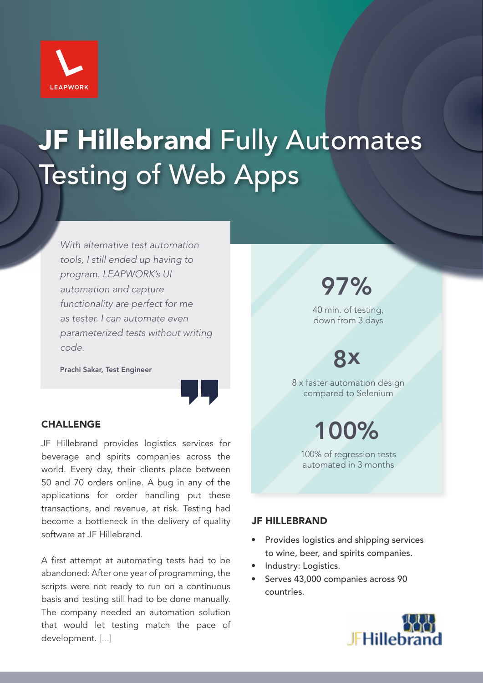

# JF Hillebrand Fully Automates Testing of Web Apps

*With alternative test automation tools, I still ended up having to program. LEAPWORK's UI automation and capture functionality are perfect for me as tester. I can automate even parameterized tests without writing code.*

Prachi Sakar, Test Engineer



### **CHALLENGE**

JF Hillebrand provides logistics services for beverage and spirits companies across the world. Every day, their clients place between 50 and 70 orders online. A bug in any of the applications for order handling put these transactions, and revenue, at risk. Testing had become a bottleneck in the delivery of quality software at JF Hillebrand.

A first attempt at automating tests had to be abandoned: After one year of programming, the scripts were not ready to run on a continuous basis and testing still had to be done manually. The company needed an automation solution that would let testing match the pace of development. [...]

97%

40 min. of testing, down from 3 days

## 8x

8 x faster automation design compared to Selenium

100%

100% of regression tests automated in 3 months

#### JF HILLEBRAND

- Provides logistics and shipping services to wine, beer, and spirits companies.
- Industry: Logistics.
- Serves 43,000 companies across 90 countries.